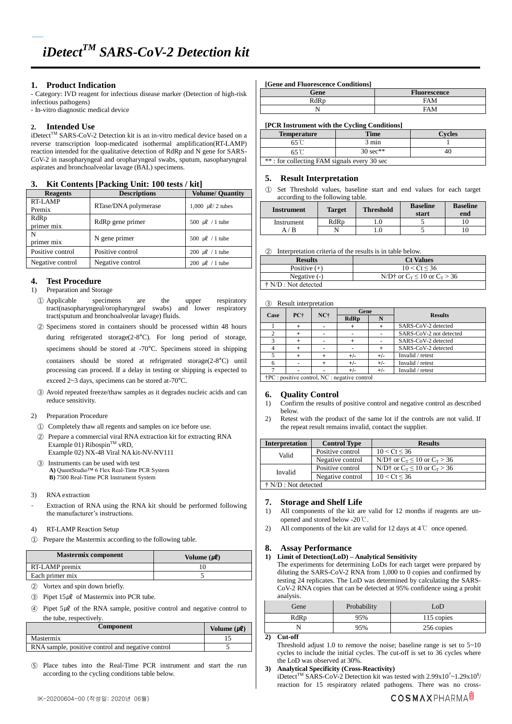# **1. Product Indication**

- Category: IVD reagent for infectious disease marker (Detection of high-risk infectious pathogens)

- In-vitro diagnostic medical device

# **2. Intended Use**

iDetect<sup>™</sup> SARS-CoV-2 Detection kit is an in-vitro medical device based on a reverse transcription loop-medicated isothermal amplification(RT-LAMP) reaction intended for the qualitative detection of RdRp and N gene for SARS-CoV-2 in nasopharyngeal and oropharyngeal swabs, sputum, nasopharyngeal aspirates and bronchoalveolar lavage (BAL) specimens.

# **3. Kit Contents [Packing Unit: 100 tests / kit]**

| $\frac{1}{2}$ acking $\frac{1}{2}$ acking $\frac{1}{2}$ and $\frac{1}{2}$ and $\frac{1}{2}$ |                      |                               |  |  |
|---------------------------------------------------------------------------------------------|----------------------|-------------------------------|--|--|
| <b>Reagents</b>                                                                             | <b>Descriptions</b>  | <b>Volume/ Quantity</b>       |  |  |
| <b>RT-LAMP</b>                                                                              | RTase/DNA polymerase | 1,000 $\mu$ <i>l</i> /2 tubes |  |  |
| Premix                                                                                      |                      |                               |  |  |
| RdRp                                                                                        | RdRp gene primer     | 500 $\mu$ l / 1 tube          |  |  |
| primer mix                                                                                  |                      |                               |  |  |
| N                                                                                           | N gene primer        | 500 $\mu$ l / 1 tube          |  |  |
| primer mix                                                                                  |                      |                               |  |  |
| Positive control                                                                            | Positive control     | 200 $\mu$ l / 1 tube          |  |  |
| Negative control                                                                            | Negative control     | 200 $\mu$ l / 1 tube          |  |  |

# **4. Test Procedure**

- 1) Preparation and Storage
	- ① Applicable specimens are the upper respiratory tract(nasopharyngeal/oropharyngeal swabs) and lower respiratory tract(sputum and bronchoalveolar lavage) fluids.
	- ② Specimens stored in containers should be processed within 48 hours during refrigerated storage(2-8°C). For long period of storage, specimens should be stored at -70°C. Specimens stored in shipping containers should be stored at refrigerated storage(2-8°C) until processing can proceed. If a delay in testing or shipping is expected to exceed 2~3 days, specimens can be stored at-70°C.
	- ③ Avoid repeated freeze/thaw samples as it degrades nucleic acids and can reduce sensitivity.
- 2) Preparation Procedure
	- ① Completely thaw all regents and samples on ice before use.
- ② Prepare a commercial viral RNA extraction kit for extracting RNA Example 01) Ribospin<sup>TM</sup> vRD,
- Example 02) NX-48 Viral NA kit-NV-NV111 ③ Instruments can be used with test **A)** QuantStudio™ 6 Flex Real-Time PCR System **B)** 7500 Real-Time PCR Instrument System
- 3) RNA extraction
- Extraction of RNA using the RNA kit should be performed following the manufacturer's instructions.

## 4) RT-LAMP Reaction Setup

① Prepare the Mastermix according to the following table.

| <b>Mastermix component</b> | Volume $(\mu \ell)$ |
|----------------------------|---------------------|
| RT-LAMP premix             |                     |
| Each primer mix            |                     |

- ② Vortex and spin down briefly.
- $\textcircled{3}$  Pipet 15µl of Mastermix into PCR tube.

④ Pipet 5㎕ of the RNA sample, positive control and negative control to the tube, respectively.

| <b>Component</b>                                  | Volume $(\mu \ell)$ |
|---------------------------------------------------|---------------------|
| Mastermix                                         |                     |
| RNA sample, positive control and negative control |                     |
|                                                   |                     |

⑤ Place tubes into the Real-Time PCR instrument and start the run according to the cycling conditions table below.

# **[Gene and Fluorescence Conditions]**

| Gene | <b>Fluorescence</b> |
|------|---------------------|
| RdRp | <b>FAM</b>          |
|      | <b>FAM</b>          |

## **[PCR Instrument with the Cycling Conditions]**

| <b>Temperature</b>                          | <b>Time</b> | <b>Evcles</b> |  |  |
|---------------------------------------------|-------------|---------------|--|--|
|                                             | 3 min       |               |  |  |
|                                             |             |               |  |  |
| **: for collecting FAM signals every 30 sec |             |               |  |  |

# **5. Result Interpretation**

① Set Threshold values, baseline start and end values for each target according to the following table.

| <b>Target</b> | <b>Threshold</b> | <b>Baseline</b><br>start | <b>Baseline</b><br>end |
|---------------|------------------|--------------------------|------------------------|
| RdRp          |                  |                          |                        |
|               |                  |                          |                        |
|               |                  |                          |                        |

#### ② Interpretation criteria of the results is in table below.

| <b>Results</b>               | <b>Ct Values</b>                                                                  |
|------------------------------|-----------------------------------------------------------------------------------|
| Positive $(+)$               | 10 < Ct < 36                                                                      |
| Negative $(-)$               | N/D <sup><math>\dagger</math></sup> or C <sub>T</sub> < 10 or C <sub>T</sub> > 36 |
| $\dagger$ N/D : Not detected |                                                                                   |

## ③ Result interpretation

| Case                                               | PC+ |                 | Gene  |       | <b>Results</b>          |
|----------------------------------------------------|-----|-----------------|-------|-------|-------------------------|
|                                                    |     | NC <sub>1</sub> | RdRp  |       |                         |
|                                                    |     |                 |       |       | SARS-CoV-2 detected     |
|                                                    |     |                 |       |       | SARS-CoV-2 not detected |
|                                                    |     |                 |       |       | SARS-CoV-2 detected     |
|                                                    |     |                 |       |       | SARS-CoV-2 detected     |
|                                                    |     |                 | $+/-$ | $+/-$ | Invalid / retest        |
|                                                    |     |                 | $+/-$ | $+/-$ | Invalid / retest        |
|                                                    |     |                 | $+/-$ | $+/-$ | Invalid / retest        |
| $+DC$ consisting control. $MC$ consective control. |     |                 |       |       |                         |

†PC : positive control, NC : negative control

## **6. Quality Control**

- 1) Confirm the results of positive control and negative control as described below.
- 2) Retest with the product of the same lot if the controls are not valid. If the repeat result remains invalid, contact the supplier.

| <b>Interpretation</b>        | <b>Control Type</b> | <b>Results</b>                                                                    |  |  |
|------------------------------|---------------------|-----------------------------------------------------------------------------------|--|--|
| Valid                        | Positive control    | 10 < Ct < 36                                                                      |  |  |
|                              | Negative control    | N/D <sup><math>\dagger</math></sup> or $C_T \le 10$ or $C_T > 36$                 |  |  |
| Invalid                      | Positive control    | N/D <sup><math>\dagger</math></sup> or C <sub>T</sub> < 10 or C <sub>T</sub> > 36 |  |  |
|                              | Negative control    | 10 < Ct < 36                                                                      |  |  |
| $\dagger$ N/D : Not detected |                     |                                                                                   |  |  |

## **7. Storage and Shelf Life**

- 1) All components of the kit are valid for 12 months if reagents are unopened and stored below -20℃.
- 2) All components of the kit are valid for 12 days at 4℃ once opened.

## **8. Assay Performance**

#### **1) Limit of Detection(LoD) – Analytical Sensitivity**

The experiments for determining LoDs for each target were prepared by diluting the SARS-CoV-2 RNA from 1,000 to 0 copies and confirmed by testing 24 replicates. The LoD was determined by calculating the SARS-CoV-2 RNA copies that can be detected at 95% confidence using a prohit analysis.

| Gene | Probability | LoD        |
|------|-------------|------------|
| RdRp | 95%         | 115 copies |
|      | 95%         | 256 copies |

**2) Cut-off**

Threshold adjust 1.0 to remove the noise; baseline range is set to  $5\nu$ -10 cycles to include the initial cycles. The cut-off is set to 36 cycles where the LoD was observed at 30%.

#### **3) Analytical Specificity (Cross-Reactivity)**

iDetect<sup>TM</sup> SARS-CoV-2 Detection kit was tested with  $2.99x10^{7}$ ~ $1.29x10^{8}$ reaction for 15 respiratory related pathogens. There was no cross